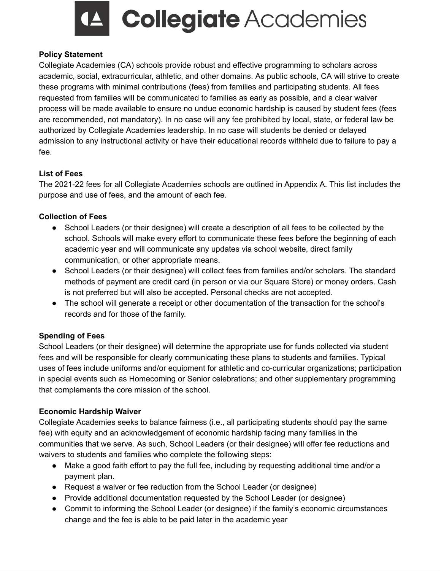

**Collegiate** Academies

### **Policy Statement**

Collegiate Academies (CA) schools provide robust and effective programming to scholars across academic, social, extracurricular, athletic, and other domains. As public schools, CA will strive to create these programs with minimal contributions (fees) from families and participating students. All fees requested from families will be communicated to families as early as possible, and a clear waiver process will be made available to ensure no undue economic hardship is caused by student fees (fees are recommended, not mandatory). In no case will any fee prohibited by local, state, or federal law be authorized by Collegiate Academies leadership. In no case will students be denied or delayed admission to any instructional activity or have their educational records withheld due to failure to pay a fee.

### **List of Fees**

The 2021-22 fees for all Collegiate Academies schools are outlined in Appendix A. This list includes the purpose and use of fees, and the amount of each fee.

#### **Collection of Fees**

- School Leaders (or their designee) will create a description of all fees to be collected by the school. Schools will make every effort to communicate these fees before the beginning of each academic year and will communicate any updates via school website, direct family communication, or other appropriate means.
- School Leaders (or their designee) will collect fees from families and/or scholars. The standard methods of payment are credit card (in person or via our Square Store) or money orders. Cash is not preferred but will also be accepted. Personal checks are not accepted.
- The school will generate a receipt or other documentation of the transaction for the school's records and for those of the family.

### **Spending of Fees**

School Leaders (or their designee) will determine the appropriate use for funds collected via student fees and will be responsible for clearly communicating these plans to students and families. Typical uses of fees include uniforms and/or equipment for athletic and co-curricular organizations; participation in special events such as Homecoming or Senior celebrations; and other supplementary programming that complements the core mission of the school.

#### **Economic Hardship Waiver**

Collegiate Academies seeks to balance fairness (i.e., all participating students should pay the same fee) with equity and an acknowledgement of economic hardship facing many families in the communities that we serve. As such, School Leaders (or their designee) will offer fee reductions and waivers to students and families who complete the following steps:

- Make a good faith effort to pay the full fee, including by requesting additional time and/or a payment plan.
- Request a waiver or fee reduction from the School Leader (or designee)
- Provide additional documentation requested by the School Leader (or designee)
- Commit to informing the School Leader (or designee) if the family's economic circumstances change and the fee is able to be paid later in the academic year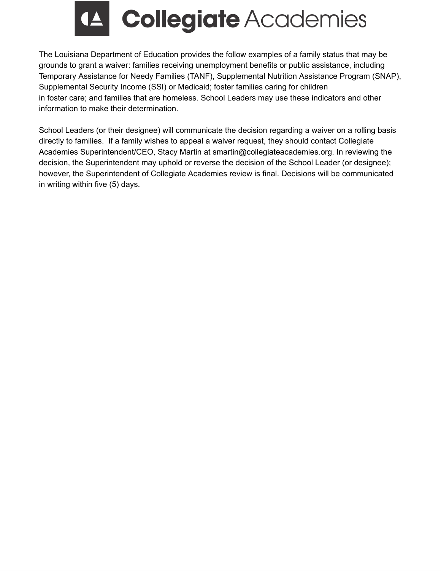

The Louisiana Department of Education provides the follow examples of a family status that may be grounds to grant a waiver: families receiving unemployment benefits or public assistance, including Temporary Assistance for Needy Families (TANF), Supplemental Nutrition Assistance Program (SNAP), Supplemental Security Income (SSI) or Medicaid; foster families caring for children in foster care; and families that are homeless. School Leaders may use these indicators and other information to make their determination.

School Leaders (or their designee) will communicate the decision regarding a waiver on a rolling basis directly to families. If a family wishes to appeal a waiver request, they should contact Collegiate Academies Superintendent/CEO, Stacy Martin at smartin@collegiateacademies.org. In reviewing the decision, the Superintendent may uphold or reverse the decision of the School Leader (or designee); however, the Superintendent of Collegiate Academies review is final. Decisions will be communicated in writing within five (5) days.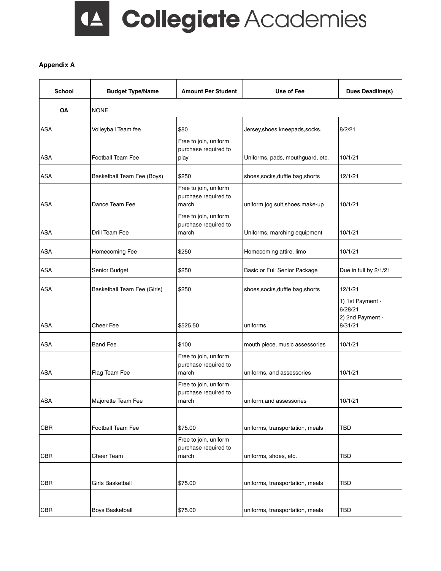### LA Collegiate Academies

#### **Appendix A**

| <b>School</b> | <b>Budget Type/Name</b>     | <b>Amount Per Student</b>                              | Use of Fee                       | <b>Dues Deadline(s)</b>                                    |
|---------------|-----------------------------|--------------------------------------------------------|----------------------------------|------------------------------------------------------------|
| OA            | <b>NONE</b>                 |                                                        |                                  |                                                            |
| <b>ASA</b>    | Volleyball Team fee         | \$80                                                   | Jersey, shoes, kneepads, socks.  | 8/2/21                                                     |
| <b>ASA</b>    | <b>Football Team Fee</b>    | Free to join, uniform<br>purchase required to<br>play  | Uniforms, pads, mouthguard, etc. | 10/1/21                                                    |
| <b>ASA</b>    | Basketball Team Fee (Boys)  | \$250                                                  | shoes, socks, duffle bag, shorts | 12/1/21                                                    |
| ASA           | Dance Team Fee              | Free to join, uniform<br>purchase required to<br>march | uniform,jog suit,shoes,make-up   | 10/1/21                                                    |
| <b>ASA</b>    | Drill Team Fee              | Free to join, uniform<br>purchase required to<br>march | Uniforms, marching equipment     | 10/1/21                                                    |
| <b>ASA</b>    | Homecoming Fee              | \$250                                                  | Homecoming attire, limo          | 10/1/21                                                    |
| <b>ASA</b>    | Senior Budget               | \$250                                                  | Basic or Full Senior Package     | Due in full by 2/1/21                                      |
| <b>ASA</b>    | Basketball Team Fee (Girls) | \$250                                                  | shoes, socks, duffle bag, shorts | 12/1/21                                                    |
| ASA           | Cheer Fee                   | \$525.50                                               | uniforms                         | 1) 1st Payment -<br>6/28/21<br>2) 2nd Payment -<br>8/31/21 |
| <b>ASA</b>    | <b>Band Fee</b>             | \$100                                                  | mouth piece, music assessories   | 10/1/21                                                    |
| <b>ASA</b>    | Flag Team Fee               | Free to join, uniform<br>purchase required to<br>march | uniforms, and assessories        | 10/1/21                                                    |
| ASA           | Majorette Team Fee          | Free to join, uniform<br>purchase required to<br>march | uniform, and assessories         | 10/1/21                                                    |
| <b>CBR</b>    | Football Team Fee           | \$75.00                                                | uniforms, transportation, meals  | TBD                                                        |
| <b>CBR</b>    | Cheer Team                  | Free to join, uniform<br>purchase required to<br>march | uniforms, shoes, etc.            | TBD                                                        |
| CBR           | Girls Basketball            | \$75.00                                                | uniforms, transportation, meals  | TBD                                                        |
| CBR           | <b>Boys Basketball</b>      | \$75.00                                                | uniforms, transportation, meals  | TBD                                                        |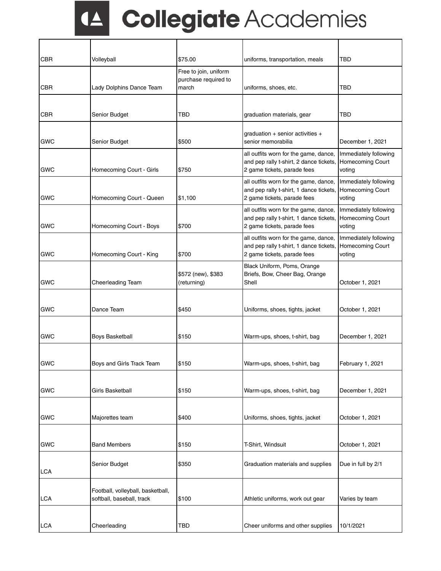## LA Collegiate Academies

| <b>CBR</b> | Volleyball                                                     | \$75.00                                       | uniforms, transportation, meals                                                                                 | TBD                                                 |
|------------|----------------------------------------------------------------|-----------------------------------------------|-----------------------------------------------------------------------------------------------------------------|-----------------------------------------------------|
|            |                                                                | Free to join, uniform<br>purchase required to |                                                                                                                 |                                                     |
| <b>CBR</b> | Lady Dolphins Dance Team                                       | march                                         | uniforms, shoes, etc.                                                                                           | TBD                                                 |
|            |                                                                |                                               |                                                                                                                 |                                                     |
| <b>CBR</b> | Senior Budget                                                  | TBD                                           | graduation materials, gear                                                                                      | TBD                                                 |
| <b>GWC</b> | Senior Budget                                                  | \$500                                         | graduation + senior activities +<br>senior memorabilia                                                          | December 1, 2021                                    |
| <b>GWC</b> | Homecoming Court - Girls                                       | \$750                                         | all outfits worn for the game, dance,<br>and pep rally t-shirt, 2 dance tickets,<br>2 game tickets, parade fees | Immediately following<br>Homecoming Court<br>voting |
| <b>GWC</b> | Homecoming Court - Queen                                       | \$1,100                                       | all outfits worn for the game, dance,<br>and pep rally t-shirt, 1 dance tickets,<br>2 game tickets, parade fees | Immediately following<br>Homecoming Court<br>voting |
| <b>GWC</b> | Homecoming Court - Boys                                        | \$700                                         | all outfits worn for the game, dance,<br>and pep rally t-shirt, 1 dance tickets,<br>2 game tickets, parade fees | Immediately following<br>Homecoming Court<br>voting |
| <b>GWC</b> | Homecoming Court - King                                        | \$700                                         | all outfits worn for the game, dance,<br>and pep rally t-shirt, 1 dance tickets,<br>2 game tickets, parade fees | Immediately following<br>Homecoming Court<br>voting |
| <b>GWC</b> | Cheerleading Team                                              | \$572 (new), \$383<br>(returning)             | Black Uniform, Poms, Orange<br>Briefs, Bow, Cheer Bag, Orange<br>Shell                                          | October 1, 2021                                     |
| <b>GWC</b> | Dance Team                                                     | \$450                                         | Uniforms, shoes, tights, jacket                                                                                 | October 1, 2021                                     |
| <b>GWC</b> | Boys Basketball                                                | \$150                                         | Warm-ups, shoes, t-shirt, bag                                                                                   | December 1, 2021                                    |
| GWC        | Boys and Girls Track Team                                      | \$150                                         | Warm-ups, shoes, t-shirt, bag                                                                                   | February 1, 2021                                    |
| <b>GWC</b> | Girls Basketball                                               | \$150                                         | Warm-ups, shoes, t-shirt, bag                                                                                   | December 1, 2021                                    |
| GWC        | Majorettes team                                                | \$400                                         | Uniforms, shoes, tights, jacket                                                                                 | October 1, 2021                                     |
| GWC        | <b>Band Members</b>                                            | \$150                                         | T-Shirt, Windsuit                                                                                               | October 1, 2021                                     |
| <b>LCA</b> | Senior Budget                                                  | \$350                                         | Graduation materials and supplies                                                                               | Due in full by 2/1                                  |
| <b>LCA</b> | Football, volleyball, basketball,<br>softball, baseball, track | \$100                                         | Athletic uniforms, work out gear                                                                                | Varies by team                                      |
| <b>LCA</b> | Cheerleading                                                   | TBD                                           | Cheer uniforms and other supplies                                                                               | 10/1/2021                                           |